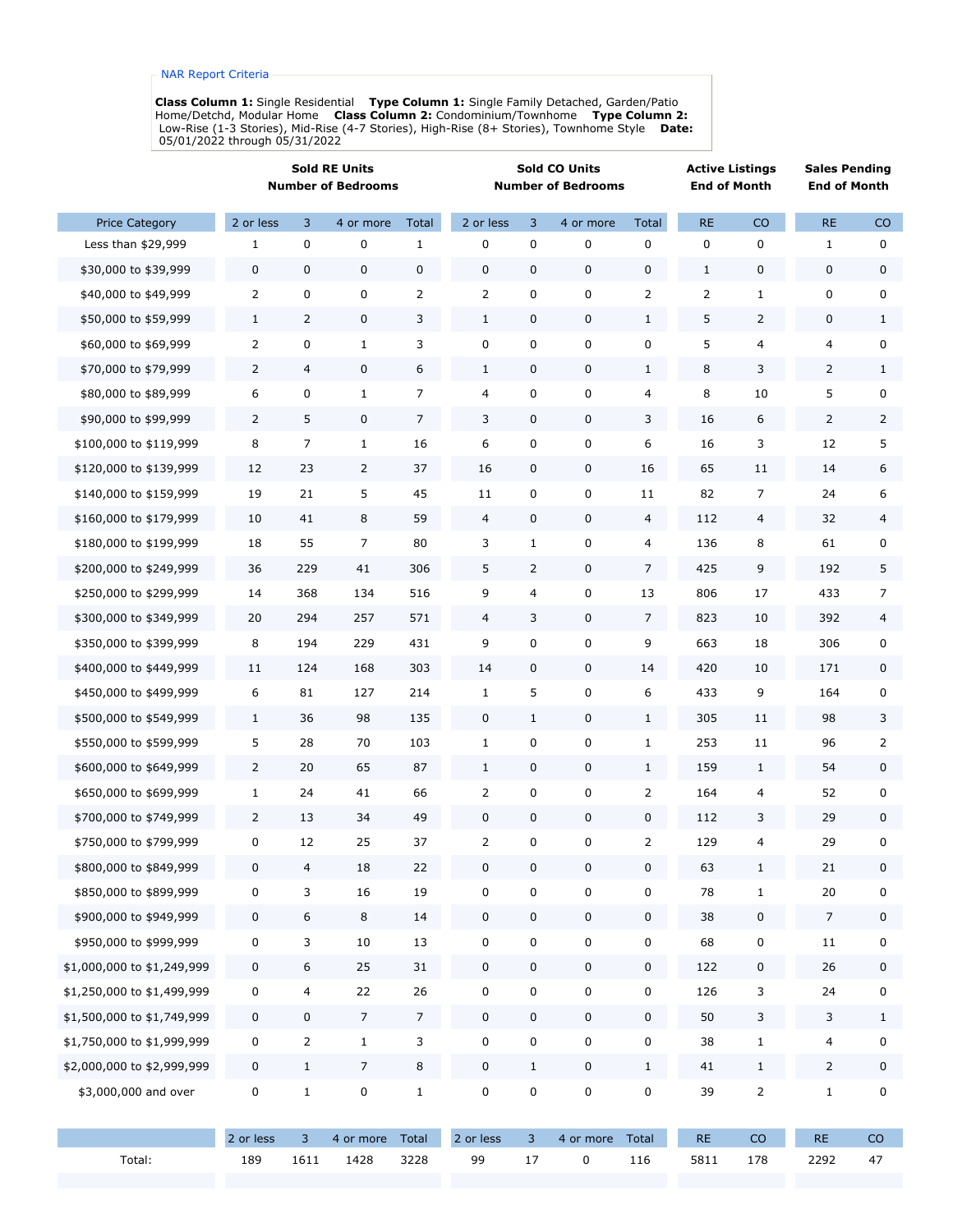**Class Column 1:** Single Residential  **Type Column 1:** Single Family Detached, Garden/Patio Home/Detchd, Modular Home  **Class Column 2:** Condominium/Townhome  **Type Column 2:** Low-Rise (1-3 Stories), Mid-Rise (4-7 Stories), High-Rise (8+ Stories), Townhome Style  **Date:** 05/01/2022 through 05/31/2022

|                            | <b>Sold RE Units</b><br><b>Number of Bedrooms</b> |                |                | <b>Sold CO Units</b><br><b>Number of Bedrooms</b> |                |                |             | <b>Active Listings</b><br><b>End of Month</b> |                | <b>Sales Pending</b><br><b>End of Month</b> |                  |              |
|----------------------------|---------------------------------------------------|----------------|----------------|---------------------------------------------------|----------------|----------------|-------------|-----------------------------------------------|----------------|---------------------------------------------|------------------|--------------|
| <b>Price Category</b>      | 2 or less                                         | 3              | 4 or more      | Total                                             | 2 or less      | 3              | 4 or more   | Total                                         | <b>RE</b>      | CO                                          | $\sf RE$         | CO           |
| Less than \$29,999         | $\mathbf 1$                                       | 0              | 0              | $\mathbf{1}$                                      | 0              | 0              | 0           | 0                                             | 0              | $\pmb{0}$                                   | $\mathbf{1}$     | 0            |
| \$30,000 to \$39,999       | 0                                                 | 0              | 0              | 0                                                 | 0              | $\mathbf 0$    | 0           | 0                                             | $1\,$          | $\pmb{0}$                                   | $\mathbf 0$      | 0            |
| \$40,000 to \$49,999       | $\overline{2}$                                    | 0              | 0              | 2                                                 | 2              | 0              | 0           | 2                                             | $\overline{2}$ | $\mathbf{1}$                                | 0                | 0            |
| \$50,000 to \$59,999       | $\mathbf{1}$                                      | $\overline{2}$ | 0              | 3                                                 | $\mathbf{1}$   | 0              | 0           | $\mathbf{1}$                                  | 5              | $\overline{2}$                              | $\pmb{0}$        | $\mathbf{1}$ |
| \$60,000 to \$69,999       | $\overline{2}$                                    | 0              | $\mathbf{1}$   | 3                                                 | 0              | 0              | 0           | 0                                             | 5              | $\overline{4}$                              | 4                | 0            |
| \$70,000 to \$79,999       | $\overline{2}$                                    | 4              | 0              | 6                                                 | $\mathbf{1}$   | 0              | 0           | $\mathbf{1}$                                  | 8              | 3                                           | $\overline{2}$   | $\mathbf{1}$ |
| \$80,000 to \$89,999       | 6                                                 | 0              | $\mathbf{1}$   | 7                                                 | 4              | 0              | $\pmb{0}$   | 4                                             | 8              | 10                                          | 5                | 0            |
| \$90,000 to \$99,999       | $\overline{2}$                                    | 5              | 0              | 7                                                 | 3              | $\mathbf 0$    | 0           | 3                                             | 16             | 6                                           | 2                | 2            |
| \$100,000 to \$119,999     | 8                                                 | 7              | $\mathbf{1}$   | 16                                                | 6              | 0              | 0           | 6                                             | 16             | 3                                           | 12               | 5            |
| \$120,000 to \$139,999     | 12                                                | 23             | $\overline{2}$ | 37                                                | 16             | 0              | 0           | 16                                            | 65             | 11                                          | 14               | 6            |
| \$140,000 to \$159,999     | 19                                                | 21             | 5              | 45                                                | 11             | 0              | 0           | 11                                            | 82             | 7                                           | 24               | 6            |
| \$160,000 to \$179,999     | 10                                                | 41             | 8              | 59                                                | 4              | 0              | 0           | 4                                             | 112            | 4                                           | 32               | 4            |
| \$180,000 to \$199,999     | 18                                                | 55             | $\overline{7}$ | 80                                                | 3              | $\mathbf{1}$   | 0           | 4                                             | 136            | 8                                           | 61               | 0            |
| \$200,000 to \$249,999     | 36                                                | 229            | 41             | 306                                               | 5              | $\overline{2}$ | 0           | $\overline{7}$                                | 425            | 9                                           | 192              | 5            |
| \$250,000 to \$299,999     | 14                                                | 368            | 134            | 516                                               | 9              | 4              | 0           | 13                                            | 806            | 17                                          | 433              | 7            |
| \$300,000 to \$349,999     | 20                                                | 294            | 257            | 571                                               | $\overline{4}$ | 3              | 0           | $\overline{7}$                                | 823            | 10                                          | 392              | 4            |
| \$350,000 to \$399,999     | 8                                                 | 194            | 229            | 431                                               | 9              | 0              | 0           | 9                                             | 663            | 18                                          | 306              | 0            |
| \$400,000 to \$449,999     | 11                                                | 124            | 168            | 303                                               | 14             | 0              | 0           | 14                                            | 420            | 10                                          | 171              | 0            |
| \$450,000 to \$499,999     | 6                                                 | 81             | 127            | 214                                               | $1\,$          | 5              | $\mathsf 0$ | 6                                             | 433            | 9                                           | 164              | 0            |
| \$500,000 to \$549,999     | $\mathbf{1}$                                      | 36             | 98             | 135                                               | 0              | $\mathbf{1}$   | 0           | $\mathbf{1}$                                  | 305            | 11                                          | 98               | 3            |
| \$550,000 to \$599,999     | 5                                                 | 28             | 70             | 103                                               | $\mathbf{1}$   | 0              | 0           | $\mathbf{1}$                                  | 253            | 11                                          | 96               | 2            |
| \$600,000 to \$649,999     | $\overline{2}$                                    | 20             | 65             | 87                                                | $1\,$          | 0              | 0           | $\mathbf{1}$                                  | 159            | $\mathbf{1}$                                | 54               | 0            |
| \$650,000 to \$699,999     | $\mathbf{1}$                                      | 24             | 41             | 66                                                | 2              | 0              | 0           | 2                                             | 164            | 4                                           | 52               | 0            |
| \$700,000 to \$749,999     | $\overline{2}$                                    | 13             | 34             | 49                                                | 0              | 0              | 0           | 0                                             | 112            | 3                                           | 29               | 0            |
| \$750,000 to \$799,999     | $\pmb{0}$                                         | 12             | 25             | 37                                                | $\overline{2}$ | 0              | 0           | $\overline{2}$                                | 129            | 4                                           | 29               | 0            |
| \$800,000 to \$849,999     | $\pmb{0}$                                         | 4              | $18\,$         | 22                                                | $\pmb{0}$      | 0              | 0           | $\pmb{0}$                                     | 63             | $1\,$                                       | 21               | 0            |
| \$850,000 to \$899,999     | $\pmb{0}$                                         | 3              | 16             | 19                                                | 0              | 0              | 0           | 0                                             | 78             | $\mathbf{1}$                                | 20               | 0            |
| \$900,000 to \$949,999     | $\pmb{0}$                                         | 6              | 8              | $14\,$                                            | $\pmb{0}$      | $\pmb{0}$      | 0           | $\pmb{0}$                                     | 38             | $\pmb{0}$                                   | $\boldsymbol{7}$ | 0            |
| \$950,000 to \$999,999     | $\pmb{0}$                                         | 3              | 10             | 13                                                | 0              | 0              | $\pmb{0}$   | 0                                             | 68             | $\pmb{0}$                                   | $11\,$           | 0            |
| \$1,000,000 to \$1,249,999 | 0                                                 | 6              | 25             | 31                                                | 0              | $\pmb{0}$      | 0           | 0                                             | 122            | $\pmb{0}$                                   | 26               | 0            |
| \$1,250,000 to \$1,499,999 | $\pmb{0}$                                         | 4              | 22             | 26                                                | $\mathbf 0$    | $\pmb{0}$      | $\pmb{0}$   | $\pmb{0}$                                     | 126            | 3                                           | 24               | 0            |
| \$1,500,000 to \$1,749,999 | 0                                                 | $\pmb{0}$      | $\overline{7}$ | $\overline{7}$                                    | 0              | $\pmb{0}$      | $\pmb{0}$   | 0                                             | 50             | $\mathsf{3}$                                | $\mathsf 3$      | $\mathbf{1}$ |
| \$1,750,000 to \$1,999,999 | $\pmb{0}$                                         | 2              | $\mathbf{1}$   | 3                                                 | 0              | 0              | 0           | 0                                             | 38             | $\mathbf{1}$                                | 4                | 0            |
| \$2,000,000 to \$2,999,999 | $\pmb{0}$                                         | $\mathbf{1}$   | $\overline{7}$ | 8                                                 | 0              | $\mathbf 1$    | 0           | $\mathbf 1$                                   | 41             | $\mathbf 1$                                 | $\mathsf 2$      | 0            |
| \$3,000,000 and over       | $\pmb{0}$                                         | $\mathbf{1}$   | 0              | $\mathbf{1}$                                      | 0              | 0              | 0           | 0                                             | 39             | $\overline{2}$                              | $\mathbf{1}$     | 0            |
|                            | 2 or less                                         | 3              | 4 or more      | Total                                             | 2 or less      | $\overline{3}$ | 4 or more   | Total                                         | <b>RE</b>      | CO                                          | RE               | CO           |
| Total:                     | 189                                               | 1611           | 1428           | 3228                                              | 99             | $17\,$         | 0           | 116                                           | 5811           | 178                                         | 2292             | 47           |